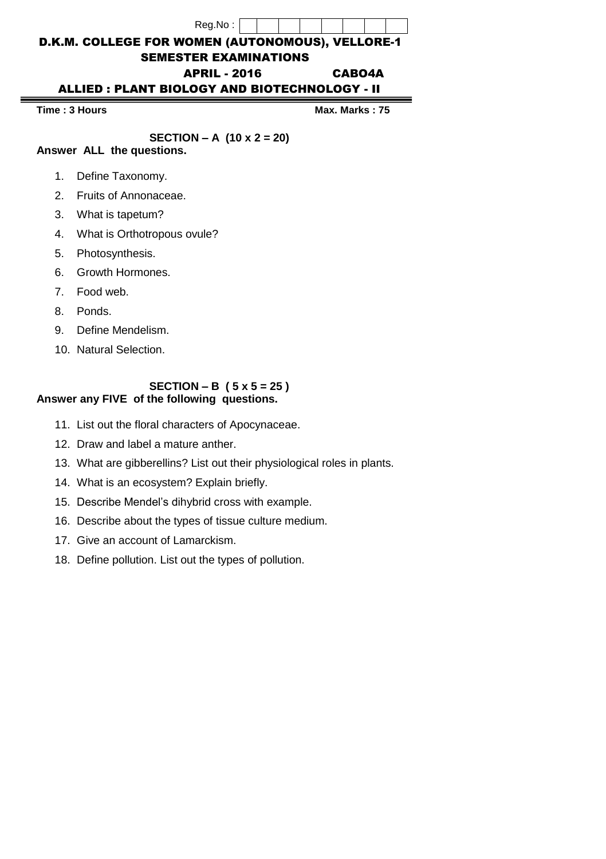## Reg.No : D.K.M. COLLEGE FOR WOMEN (AUTONOMOUS), VELLORE-1 SEMESTER EXAMINATIONS APRIL - 2016 CABO4A ALLIED : PLANT BIOLOGY AND BIOTECHNOLOGY - II

**Time : 3 Hours Max.** Max. Marks : 75

### **SECTION – A (10 x 2 = 20)**

- **Answer ALL the questions.** 
	- 1. Define Taxonomy.
	- 2. Fruits of Annonaceae.
	- 3. What is tapetum?
	- 4. What is Orthotropous ovule?
	- 5. Photosynthesis.
	- 6. Growth Hormones.
	- 7. Food web.
	- 8. Ponds.
	- 9. Define Mendelism.
	- 10. Natural Selection.

#### **SECTION – B ( 5 x 5 = 25 ) Answer any FIVE of the following questions.**

- 11. List out the floral characters of Apocynaceae.
- 12. Draw and label a mature anther.
- 13. What are gibberellins? List out their physiological roles in plants.
- 14. What is an ecosystem? Explain briefly.
- 15. Describe Mendel's dihybrid cross with example.
- 16. Describe about the types of tissue culture medium.
- 17. Give an account of Lamarckism.
- 18. Define pollution. List out the types of pollution.